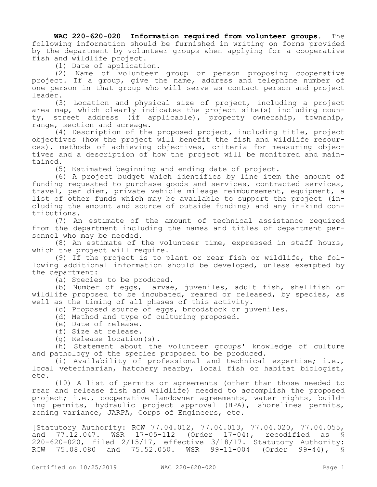**WAC 220-620-020 Information required from volunteer groups.** The following information should be furnished in writing on forms provided by the department by volunteer groups when applying for a cooperative fish and wildlife project.

(1) Date of application.

(2) Name of volunteer group or person proposing cooperative project. If a group, give the name, address and telephone number of one person in that group who will serve as contact person and project leader.

(3) Location and physical size of project, including a project area map, which clearly indicates the project site(s) including county, street address (if applicable), property ownership, township, range, section and acreage.

(4) Description of the proposed project, including title, project objectives (how the project will benefit the fish and wildlife resources), methods of achieving objectives, criteria for measuring objectives and a description of how the project will be monitored and maintained.

(5) Estimated beginning and ending date of project.

(6) A project budget which identifies by line item the amount of funding requested to purchase goods and services, contracted services, travel, per diem, private vehicle mileage reimbursement, equipment, a list of other funds which may be available to support the project (including the amount and source of outside funding) and any in-kind contributions.

(7) An estimate of the amount of technical assistance required from the department including the names and titles of department personnel who may be needed.

(8) An estimate of the volunteer time, expressed in staff hours, which the project will require.

(9) If the project is to plant or rear fish or wildlife, the following additional information should be developed, unless exempted by the department:

(a) Species to be produced.

(b) Number of eggs, larvae, juveniles, adult fish, shellfish or wildlife proposed to be incubated, reared or released, by species, as well as the timing of all phases of this activity.

(c) Proposed source of eggs, broodstock or juveniles.

(d) Method and type of culturing proposed.

- (e) Date of release.
- (f) Size at release.

(g) Release location(s).

(h) Statement about the volunteer groups' knowledge of culture and pathology of the species proposed to be produced.

(i) Availability of professional and technical expertise; i.e., local veterinarian, hatchery nearby, local fish or habitat biologist, etc.

(10) A list of permits or agreements (other than those needed to rear and release fish and wildlife) needed to accomplish the proposed project; i.e., cooperative landowner agreements, water rights, building permits, hydraulic project approval (HPA), shorelines permits, zoning variance, JARPA, Corps of Engineers, etc.

[Statutory Authority: RCW 77.04.012, 77.04.013, 77.04.020, 77.04.055, and 77.12.047. WSR 17-05-112 (Order 17-04), recodified as § 220-620-020, filed 2/15/17, effective 3/18/17. Statutory Authority: RCW 75.08.080 and 75.52.050. WSR 99-11-004 (Order 99-44), §